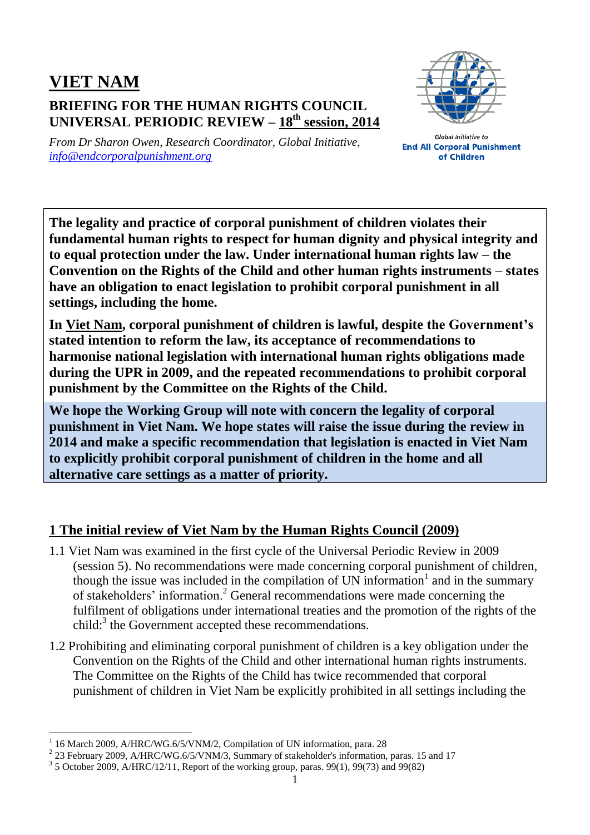## **VIET NAM BRIEFING FOR THE HUMAN RIGHTS COUNCIL UNIVERSAL PERIODIC REVIEW – 18 th session, 2014**



*From Dr Sharon Owen, Research Coordinator, Global Initiative, [info@endcorporalpunishment.org](mailto:info@endcorporalpunishment.org)*

**Global Initiative to End All Corporal Punishment** of Children

**The legality and practice of corporal punishment of children violates their fundamental human rights to respect for human dignity and physical integrity and to equal protection under the law. Under international human rights law – the Convention on the Rights of the Child and other human rights instruments – states have an obligation to enact legislation to prohibit corporal punishment in all settings, including the home.**

**In Viet Nam, corporal punishment of children is lawful, despite the Government's stated intention to reform the law, its acceptance of recommendations to harmonise national legislation with international human rights obligations made during the UPR in 2009, and the repeated recommendations to prohibit corporal punishment by the Committee on the Rights of the Child.**

**We hope the Working Group will note with concern the legality of corporal punishment in Viet Nam. We hope states will raise the issue during the review in 2014 and make a specific recommendation that legislation is enacted in Viet Nam to explicitly prohibit corporal punishment of children in the home and all alternative care settings as a matter of priority.**

## **1 The initial review of Viet Nam by the Human Rights Council (2009)**

- 1.1 Viet Nam was examined in the first cycle of the Universal Periodic Review in 2009 (session 5). No recommendations were made concerning corporal punishment of children, though the issue was included in the compilation of UN information<sup>1</sup> and in the summary of stakeholders' information.<sup>2</sup> General recommendations were made concerning the fulfilment of obligations under international treaties and the promotion of the rights of the child: $3$  the Government accepted these recommendations.
- 1.2 Prohibiting and eliminating corporal punishment of children is a key obligation under the Convention on the Rights of the Child and other international human rights instruments. The Committee on the Rights of the Child has twice recommended that corporal punishment of children in Viet Nam be explicitly prohibited in all settings including the

 $\overline{a}$ 

<sup>1</sup> 16 March 2009, A/HRC/WG.6/5/VNM/2, Compilation of UN information, para. 28

 $^{2}$  23 February 2009, A/HRC/WG.6/5/VNM/3, Summary of stakeholder's information, paras. 15 and 17

 $3$  5 October 2009, A/HRC/12/11, Report of the working group, paras. 99(1), 99(73) and 99(82)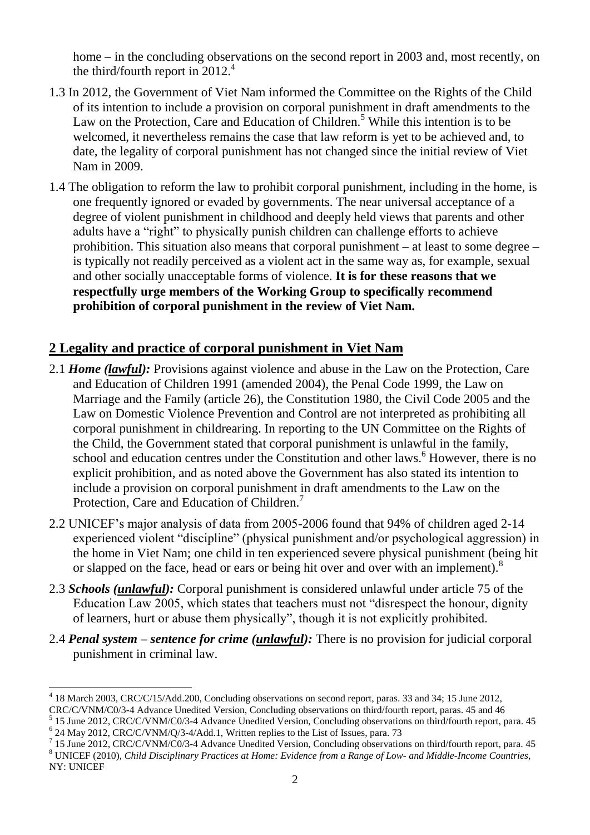home – in the concluding observations on the second report in 2003 and, most recently, on the third/fourth report in 2012. 4

- 1.3 In 2012, the Government of Viet Nam informed the Committee on the Rights of the Child of its intention to include a provision on corporal punishment in draft amendments to the Law on the Protection, Care and Education of Children.<sup>5</sup> While this intention is to be welcomed, it nevertheless remains the case that law reform is yet to be achieved and, to date, the legality of corporal punishment has not changed since the initial review of Viet Nam in 2009.
- 1.4 The obligation to reform the law to prohibit corporal punishment, including in the home, is one frequently ignored or evaded by governments. The near universal acceptance of a degree of violent punishment in childhood and deeply held views that parents and other adults have a "right" to physically punish children can challenge efforts to achieve prohibition. This situation also means that corporal punishment – at least to some degree – is typically not readily perceived as a violent act in the same way as, for example, sexual and other socially unacceptable forms of violence. **It is for these reasons that we respectfully urge members of the Working Group to specifically recommend prohibition of corporal punishment in the review of Viet Nam.**

## **2 Legality and practice of corporal punishment in Viet Nam**

- 2.1 *Home (lawful):* Provisions against violence and abuse in the Law on the Protection, Care and Education of Children 1991 (amended 2004), the Penal Code 1999, the Law on Marriage and the Family (article 26), the Constitution 1980, the Civil Code 2005 and the Law on Domestic Violence Prevention and Control are not interpreted as prohibiting all corporal punishment in childrearing. In reporting to the UN Committee on the Rights of the Child, the Government stated that corporal punishment is unlawful in the family, school and education centres under the Constitution and other laws. <sup>6</sup> However, there is no explicit prohibition, and as noted above the Government has also stated its intention to include a provision on corporal punishment in draft amendments to the Law on the Protection, Care and Education of Children.<sup>7</sup>
- 2.2 UNICEF's major analysis of data from 2005-2006 found that 94% of children aged 2-14 experienced violent "discipline" (physical punishment and/or psychological aggression) in the home in Viet Nam; one child in ten experienced severe physical punishment (being hit or slapped on the face, head or ears or being hit over and over with an implement).<sup>8</sup>
- 2.3 *Schools (unlawful):* Corporal punishment is considered unlawful under article 75 of the Education Law 2005, which states that teachers must not "disrespect the honour, dignity of learners, hurt or abuse them physically", though it is not explicitly prohibited.
- 2.4 *Penal system – sentence for crime (unlawful):* There is no provision for judicial corporal punishment in criminal law.

<sup>7</sup> 15 June 2012, CRC/C/VNM/C0/3-4 Advance Unedited Version, Concluding observations on third/fourth report, para. 45 <sup>8</sup> UNICEF (2010), *Child Disciplinary Practices at Home: Evidence from a Range of Low- and Middle-Income Countries*,

 $\overline{a}$ 

<sup>4</sup> 18 March 2003, CRC/C/15/Add.200, Concluding observations on second report, paras. 33 and 34; 15 June 2012,

CRC/C/VNM/C0/3-4 Advance Unedited Version, Concluding observations on third/fourth report, paras. 45 and 46

<sup>&</sup>lt;sup>5</sup> 15 June 2012, CRC/C/VNM/C0/3-4 Advance Unedited Version, Concluding observations on third/fourth report, para. 45 6 24 May 2012, CRC/C/VNM/Q/3-4/Add.1, Written replies to the List of Issues, para. 73